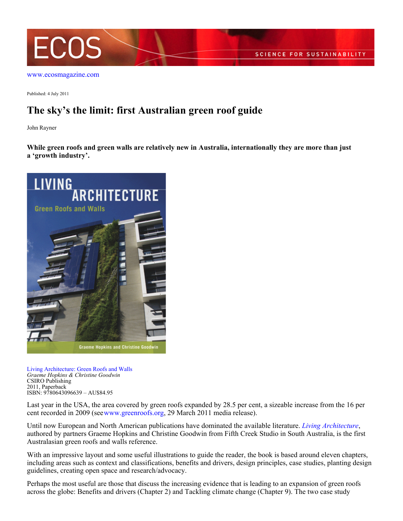

[www.ecosmagazine.com](http://www.ecosmagazine.com)

Published: 4 July 2011

## **The sky's the limit: first Australian green roof guide**

John Rayner

**While green roofs and green walls are relatively new in Australia, internationally they are more than just a 'growth industry'.**



[Living Architecture: Green Roofs and Walls](http://www.publish.csiro.au/pid/6494.htm) *Graeme Hopkins & Christine Goodwin*  CSIRO Publishing 2011, Paperback ISBN: 9780643096639 – AU\$84.95

Last year in the USA, the area covered by green roofs expanded by 28.5 per cent, a sizeable increase from the 16 per cent recorded in 2009 (see [www.greenroofs.org](http://www.greenroofs.org), 29 March 2011 media release).

Until now European and North American publications have dominated the available literature. *[Living Architecture](http://www.publish.csiro.au/pid/6494.htm)*, authored by partners Graeme Hopkins and Christine Goodwin from Fifth Creek Studio in South Australia, is the first Australasian green roofs and walls reference.

With an impressive layout and some useful illustrations to guide the reader, the book is based around eleven chapters, including areas such as context and classifications, benefits and drivers, design principles, case studies, planting design guidelines, creating open space and research/advocacy.

Perhaps the most useful are those that discuss the increasing evidence that is leading to an expansion of green roofs across the globe: Benefits and drivers (Chapter 2) and Tackling climate change (Chapter 9). The two case study